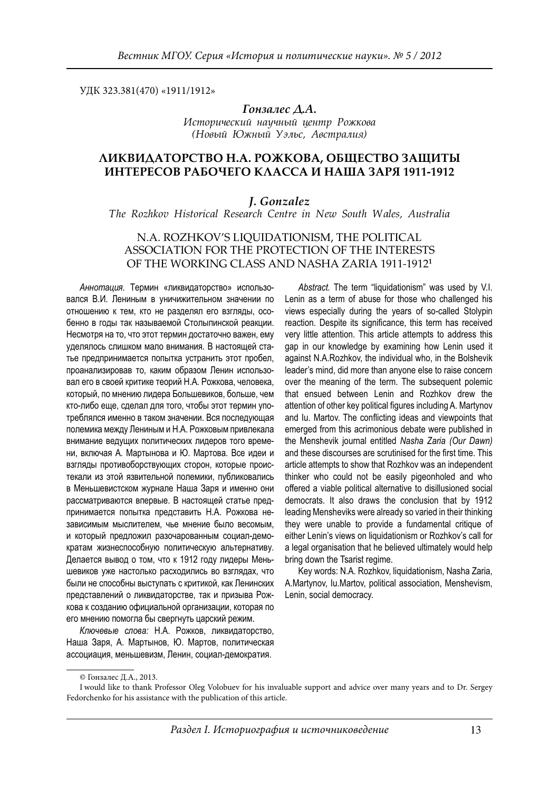УДК 323.381(470) «1911/1912»

*Гонзалес Д.А.*

*Исторический научный центр Рожкова (Новый Южный Уэльс, Австралия)*

## **ЛИКВИДАТОРСТВО Н.А. РОЖКОВА, ОБЩЕСТВО ЗАЩИТЫ ИНТЕРЕСОВ РАБОЧЕГО КЛАССА И НАША ЗАРЯ 1911-1912**

## *J. Gonzalez*

*The Rozhkov Historical Research Centre in New South Wales, Australia*

## N.A. ROZHKOV'S LIQUIDATIONISM, THE POLITICAL ASSOCIATION FOR THE PROTECTION OF THE INTERESTS OF THE WORKING CLASS AND NASHA ZARIA 1911-1912**<sup>1</sup>**

*Аннотация.* Термин «ликвидаторство» использовался В.И. Лениным в уничижительном значении по отношению к тем, кто не разделял его взгляды, особенно в годы так называемой Столыпинской реакции. Несмотря на то, что этот термин достаточно важен, ему уделялось слишком мало внимания. В настоящей статье предпринимается попытка устранить этот пробел, проанализировав то, каким образом Ленин использовал его в своей критике теорий Н.А. Рожкова, человека, который, по мнению лидера Большевиков, больше, чем кто-либо еще, сделал для того, чтобы этот термин употреблялся именно в таком значении. Вся последующая полемика между Лениным и Н.А. Рожковым привлекала внимание ведущих политических лидеров того времени, включая А. Мартынова и Ю. Мартова. Все идеи и взгляды противоборствующих сторон, которые проистекали из этой язвительной полемики, публиковались в Меньшевистском журнале Наша Заря и именно они рассматриваются впервые. В настоящей статье предпринимается попытка представить Н.А. Рожкова независимым мыслителем, чье мнение было весомым, и который предложил разочарованным социал-демократам жизнеспособную политическую альтернативу. Делается вывод о том, что к 1912 году лидеры Меньшевиков уже настолько расходились во взглядах, что были не способны выступать с критикой, как Ленинских представлений о ликвидаторстве, так и призыва Рожкова к созданию официальной организации, которая по его мнению помогла бы свергнуть царский режим.

*Ключевые слова:* Н.А. Рожков, ликвидаторство, Наша Заря, А. Мартынов, Ю. Мартов, политическая ассоциация, меньшевизм, Ленин, социал-демократия.

*Abstract.* The term "liquidationism" was used by V.I. Lenin as a term of abuse for those who challenged his views especially during the years of so-called Stolypin reaction. Despite its significance, this term has received very little attention. This article attempts to address this gap in our knowledge by examining how Lenin used it against N.A.Rozhkov, the individual who, in the Bolshevik leader's mind, did more than anyone else to raise concern over the meaning of the term. The subsequent polemic that ensued between Lenin and Rozhkov drew the attention of other key political figures including A. Martynov and Iu. Martov. The conflicting ideas and viewpoints that emerged from this acrimonious debate were published in the Menshevik journal entitled *Nasha Zaria (Our Dawn)*  and these discourses are scrutinised for the first time. This article attempts to show that Rozhkov was an independent thinker who could not be easily pigeonholed and who offered a viable political alternative to disillusioned social democrats. It also draws the conclusion that by 1912 leading Mensheviks were already so varied in their thinking they were unable to provide a fundamental critique of either Lenin's views on liquidationism or Rozhkov's call for a legal organisation that he believed ultimately would help bring down the Tsarist regime.

Key words: N.A. Rozhkov, liquidationism, Nasha Zaria, A.Martynov, Iu.Martov, political association, Menshevism, Lenin, social democracy.

<sup>©</sup> Гонзалес Д.А., 2013.

I would like to thank Professor Oleg Volobuev for his invaluable support and advice over many years and to Dr. Sergey Fedorchenko for his assistance with the publication of this article.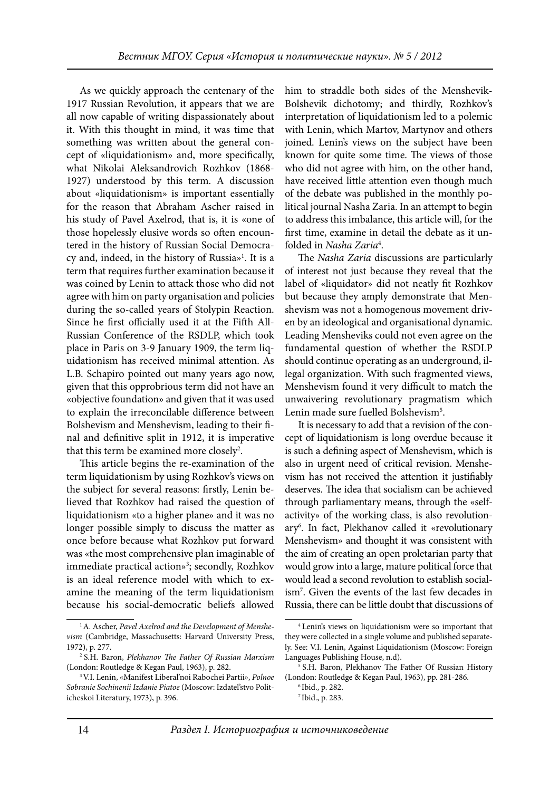As we quickly approach the centenary of the 1917 Russian Revolution, it appears that we are all now capable of writing dispassionately about it. With this thought in mind, it was time that something was written about the general concept of «liquidationism» and, more specifically, what Nikolai Aleksandrovich Rozhkov (1868- 1927) understood by this term. A discussion about «liquidationism» is important essentially for the reason that Abraham Ascher raised in his study of Pavel Axelrod, that is, it is «one of those hopelessly elusive words so often encountered in the history of Russian Social Democracy and, indeed, in the history of Russia»<sup>1</sup>. It is a term that requires further examination because it was coined by Lenin to attack those who did not agree with him on party organisation and policies during the so-called years of Stolypin Reaction. Since he first officially used it at the Fifth All-Russian Conference of the RSDLP, which took place in Paris on 3-9 January 1909, the term liquidationism has received minimal attention. As L.B. Schapiro pointed out many years ago now, given that this opprobrious term did not have an «objective foundation» and given that it was used to explain the irreconcilable difference between Bolshevism and Menshevism, leading to their final and definitive split in 1912, it is imperative that this term be examined more closely<sup>2</sup>.

This article begins the re-examination of the term liquidationism by using Rozhkov's views on the subject for several reasons: firstly, Lenin believed that Rozhkov had raised the question of liquidationism «to a higher plane» and it was no longer possible simply to discuss the matter as once before because what Rozhkov put forward was «the most comprehensive plan imaginable of immediate practical action»<sup>3</sup>; secondly, Rozhkov is an ideal reference model with which to examine the meaning of the term liquidationism because his social-democratic beliefs allowed

him to straddle both sides of the Menshevik-Bolshevik dichotomy; and thirdly, Rozhkov's interpretation of liquidationism led to a polemic with Lenin, which Martov, Martynov and others joined. Lenin's views on the subject have been known for quite some time. The views of those who did not agree with him, on the other hand, have received little attention even though much of the debate was published in the monthly political journal Nasha Zaria. In an attempt to begin to address this imbalance, this article will, for the first time, examine in detail the debate as it unfolded in *Nasha Zaria<sup>4</sup>.* 

The Nasha Zaria discussions are particularly of interest not just because they reveal that the label of «liquidator» did not neatly fit Rozhkov but because they amply demonstrate that Menshevism was not a homogenous movement driven by an ideological and organisational dynamic. Leading Mensheviks could not even agree on the fundamental question of whether the RSDLP should continue operating as an underground, illegal organization. With such fragmented views, Menshevism found it very difficult to match the unwaivering revolutionary pragmatism which Lenin made sure fuelled Bolshevism<sup>5</sup>.

It is necessary to add that a revision of the concept of liquidationism is long overdue because it is such a defining aspect of Menshevism, which is also in urgent need of critical revision. Menshevism has not received the attention it justifiably deserves. The idea that socialism can be achieved through parliamentary means, through the «selfactivity» of the working class, is also revolutionary6 . In fact, Plekhanov called it «revolutionary Menshevism» and thought it was consistent with the aim of creating an open proletarian party that would grow into a large, mature political force that would lead a second revolution to establish socialism7 . Given the events of the last few decades in Russia, there can be little doubt that discussions of

<sup>&</sup>lt;sup>1</sup> A. Ascher, Pavel Axelrod and the Development of Menshevism (Cambridge, Massachusetts: Harvard University Press, 1972), p. 277.

 $2$  S.H. Baron, Plekhanov The Father Of Russian Marxism (London: Routledge & Kegan Paul, 1963), p. 282.

<sup>&</sup>lt;sup>3</sup> V.I. Lenin, «Manifest Liberal'noi Rabochei Partii», Polnoe Sobranie Sochinenii Izdanie Piatoe (Moscow: Izdatel'stvo Politicheskoi Literatury, 1973), p. 396.

<sup>4</sup> Lenin's views on liquidationism were so important that they were collected in a single volume and published separately. See: V.I. Lenin, Against Liquidationism (Moscow: Foreign Languages Publishing House, n.d).

 $5$  S.H. Baron, Plekhanov The Father Of Russian History (London: Routledge & Kegan Paul, 1963), pp. 281-286.

<sup>6</sup> Ibid., p. 282.

<sup>7</sup> Ibid., p. 283.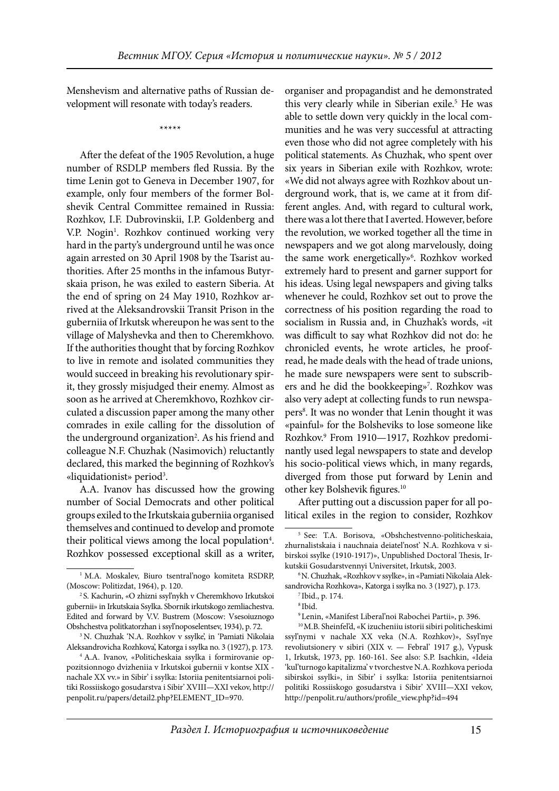Menshevism and alternative paths of Russian development will resonate with today's readers.

\*\*\*\*\*

After the defeat of the 1905 Revolution, a huge number of RSDLP members fled Russia. By the time Lenin got to Geneva in December 1907, for example, only four members of the former Bolshevik Central Committee remained in Russia: Rozhkov, I.F. Dubrovinskii, I.P. Goldenberg and V.P. Nogin<sup>1</sup>. Rozhkov continued working very hard in the party's underground until he was once again arrested on 30 April 1908 by the Tsarist authorities. After 25 months in the infamous Butyrskaia prison, he was exiled to eastern Siberia. At the end of spring on 24 May 1910, Rozhkov arrived at the Aleksandrovskii Transit Prison in the guberniia of Irkutsk whereupon he was sent to the village of Malyshevka and then to Cheremkhovo. If the authorities thought that by forcing Rozhkov to live in remote and isolated communities they would succeed in breaking his revolutionary spirit, they grossly misjudged their enemy. Almost as soon as he arrived at Cheremkhovo, Rozhkov circulated a discussion paper among the many other comrades in exile calling for the dissolution of the underground organization<sup>2</sup>. As his friend and colleague N.F. Chuzhak (Nasimovich) reluctantly declared, this marked the beginning of Rozhkov's «liquidationist» period<sup>3</sup>.

A.A. Ivanov has discussed how the growing number of Social Democrats and other political groups exiled to the Irkutskaia guberniia organised themselves and continued to develop and promote their political views among the local population<sup>4</sup>. Rozhkov possessed exceptional skill as a writer,

organiser and propagandist and he demonstrated this very clearly while in Siberian exile.<sup>5</sup> He was able to settle down very quickly in the local communities and he was very successful at attracting even those who did not agree completely with his political statements. As Chuzhak, who spent over six years in Siberian exile with Rozhkov, wrote: «We did not always agree with Rozhkov about underground work, that is, we came at it from different angles. And, with regard to cultural work, there was a lot there that I averted. However, before the revolution, we worked together all the time in newspapers and we got along marvelously, doing the same work energetically»<sup>6</sup>. Rozhkov worked extremely hard to present and garner support for his ideas. Using legal newspapers and giving talks whenever he could, Rozhkov set out to prove the correctness of his position regarding the road to socialism in Russia and, in Chuzhak's words, «it was difficult to say what Rozhkov did not do: he chronicled events, he wrote articles, he proofread, he made deals with the head of trade unions, he made sure newspapers were sent to subscribers and he did the bookkeeping»7 . Rozhkov was also very adept at collecting funds to run newspapers<sup>8</sup>. It was no wonder that Lenin thought it was «painful» for the Bolsheviks to lose someone like Rozhkov.9 From 1910—1917, Rozhkov predominantly used legal newspapers to state and develop his socio-political views which, in many regards, diverged from those put forward by Lenin and other key Bolshevik figures.<sup>10</sup>

After putting out a discussion paper for all political exiles in the region to consider, Rozhkov

<sup>&</sup>lt;sup>1</sup> M.A. Moskalev, Biuro tsentral'nogo komiteta RSDRP, (Moscow: Politizdat, 1964), p. 120.

<sup>2</sup> S. Kachurin, «O zhizni ssyl'nykh v Cheremkhovo Irkutskoi gubernii» in Irkutskaia Ssylka. Sbornik irkutskogo zemliachestva. Edited and forward by V.V. Bustrem (Moscow: Vsesoiuznogo Obshchestva politkatorzhan i ssyl'noposelentsev, 1934), p. 72.

<sup>&</sup>lt;sup>3</sup> N. Chuzhak 'N.A. Rozhkov v ssylke', in 'Pamiati Nikolaia Aleksandrovicha Rozhkova', Katorga i ssylka no. 3 (1927), p. 173.

<sup>4</sup> A.A. Ivanov, «Politicheskaia ssylka i formirovanie oppozitsionnogo dvizheniia v Irkutskoi gubernii v kontse XIX nachale XX vv.» in Sibir' i ssylka: Istoriia penitentsiarnoi politiki Rossiiskogo gosudarstva i Sibir' XVIII—XXI vekov, http:// penpolit.ru/papers/detail2.php?ELEMENT\_ID=970.

<sup>5</sup> See: T.A. Borisova, «Obshchestvenno-politicheskaia, zhurnalistskaia i nauchnaia deiatel'nost' N.A. Rozhkova v sibirskoi ssylke (1910-1917)», Unpublished Doctoral Thesis, Ir-

kutskii Gosudarstvennyi Universitet, Irkutsk, 2003. 6 N. Chuzhak, «Rozhkov v ssylke», in «Pamiati Nikolaia Aleksandrovicha Rozhkova», Katorga i ssylka no. 3 (1927), p. 173.

<sup>7</sup> Ibid., p. 174.

<sup>8</sup> Ibid.

<sup>9</sup> Lenin, «Manifest Liberal'noi Rabochei Partii», p. 396.

<sup>10</sup> M.B. Sheinfel'd, «K izucheniiu istorii sibiri politicheskimi ssyl'nymi v nachale XX veka (N.A. Rozhkov)», Ssyl'nye revoliutsionery v sibiri (XIX v. — Febral' 1917 g.), Vypusk 1, Irkutsk, 1973, pp. 160-161. See also: S.P. Isachkin, «Ideia 'kul'turnogo kapitalizma' v tvorchestve N.A. Rozhkova perioda sibirskoi ssylki», in Sibir' i ssylka: Istoriia penitentsiarnoi politiki Rossiiskogo gosudarstva i Sibir' XVIII—XXI vekov, http://penpolit.ru/authors/profile\_view.php?id=494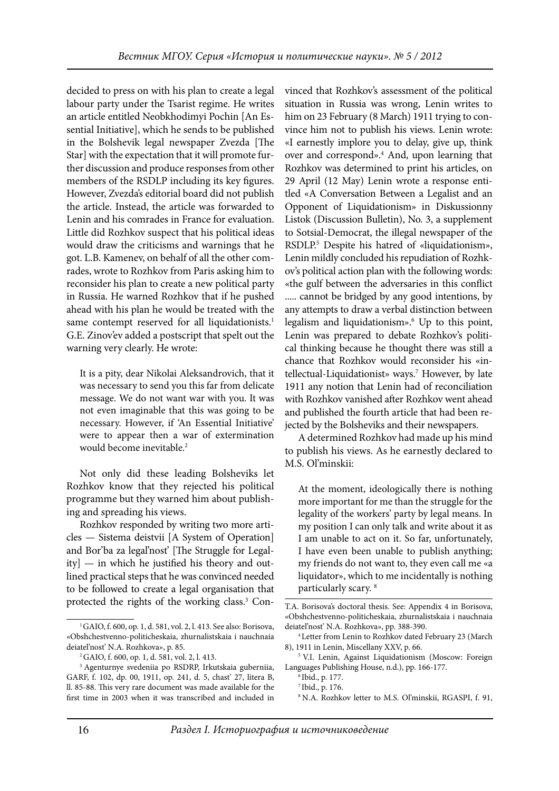decided to press on with his plan to create a legal labour party under the Tsarist regime. He writes an article entitled Neobkhodimyi Pochin [An Essential Initiative], which he sends to be published in the Bolshevik legal newspaper Zvezda [The Star] with the expectation that it will promote further discussion and produce responses from other members of the RSDLP including its key figures. However, Zvezda's editorial board did not publish the article. Instead, the article was forwarded to Lenin and his comrades in France for evaluation. Little did Rozhkov suspect that his political ideas would draw the criticisms and warnings that he got. L.B. Kamenev, on behalf of all the other comrades, wrote to Rozhkov from Paris asking him to reconsider his plan to create a new political party in Russia. He warned Rozhkov that if he pushed ahead with his plan he would be treated with the same contempt reserved for all liquidationists.<sup>1</sup> G.E. Zinov'ev added a postscript that spelt out the warning very clearly. He wrote:

It is a pity, dear Nikolai Aleksandrovich, that it was necessary to send you this far from delicate message. We do not want war with you. It was not even imaginable that this was going to be necessary. However, if 'An Essential Initiative' were to appear then a war of extermination would become inevitable.<sup>2</sup>

Not only did these leading Bolsheviks let Rozhkov know that they rejected his political programme but they warned him about publishing and spreading his views.

Rozhkov responded by writing two more articles — Sistema deistvii [A System of Operation] and Bor'ba za legal'nost' [The Struggle for Legal $ity$  — in which he justified his theory and outlined practical steps that he was convinced needed to be followed to create a legal organisation that protected the rights of the working class.<sup>3</sup> Convinced that Rozhkov's assessment of the political situation in Russia was wrong, Lenin writes to him on 23 February (8 March) 1911 trying to convince him not to publish his views. Lenin wrote: «I earnestly implore you to delay, give up, think over and correspond».<sup>4</sup> And, upon learning that Rozhkov was determined to print his articles, on 29 April (12 May) Lenin wrote a response entitled «A Conversation Between a Legalist and an Opponent of Liquidationism» in Diskussionny Listok (Discussion Bulletin), No. 3, a supplement to Sotsial-Democrat, the illegal newspaper of the RSDLP.5 Despite his hatred of «liquidationism», Lenin mildly concluded his repudiation of Rozhkov's political action plan with the following words: «the gulf between the adversaries in this conflict ...... cannot be bridged by any good intentions, by any attempts to draw a verbal distinction between legalism and liquidationism».<sup>6</sup> Up to this point, Lenin was prepared to debate Rozhkov's political thinking because he thought there was still a chance that Rozhkov would reconsider his «intellectual-Liquidationist» ways.<sup>7</sup> However, by late 1911 any notion that Lenin had of reconciliation with Rozhkov vanished after Rozhkov went ahead and published the fourth article that had been rejected by the Bolsheviks and their newspapers.

A determined Rozhkov had made up his mind to publish his views. As he earnestly declared to M.S. Ol'minskii:

At the moment, ideologically there is nothing more important for me than the struggle for the legality of the workers' party by legal means. In my position I can only talk and write about it as I am unable to act on it. So far, unfortunately, I have even been unable to publish anything; my friends do not want to, they even call me «a liquidator», which to me incidentally is nothing particularly scary. 8

<sup>&</sup>lt;sup>1</sup>GAIO, f. 600, op. 1, d. 581, vol. 2, l. 413. See also: Borisova, «Obshchestvenno-politicheskaia, zhurnalistskaia i nauchnaia deiatel'nost' N.A. Rozhkova», p. 85.

<sup>2</sup> GAIO, f. 600, op. 1, d. 581, vol. 2, l. 413.

<sup>3</sup> Agenturnye svedeniia po RSDRP, Irkutskaia guberniia, GARF, f. 102, dp. 00, 1911, op. 241, d. 5, chast' 27, litera B, ll. 85-88. This very rare document was made available for the first time in 2003 when it was transcribed and included in

T.A. Borisova's doctoral thesis. See: Appendix 4 in Borisova, «Obshchestvenno-politicheskaia, zhurnalistskaia i nauchnaia deiatel'nost' N.A. Rozhkova», pp. 388-390.

<sup>4</sup> Letter from Lenin to Rozhkov dated February 23 (March 8), 1911 in Lenin, Miscellany XXV, p. 66.

<sup>5</sup> V.I. Lenin, Against Liquidationism (Moscow: Foreign Languages Publishing House, n.d.), pp. 166-177.

<sup>6</sup> Ibid., p. 177.

<sup>7</sup> Ibid., p. 176.

<sup>8</sup> N.A. Rozhkov letter to M.S. Ol'minskii, RGASPI, f. 91,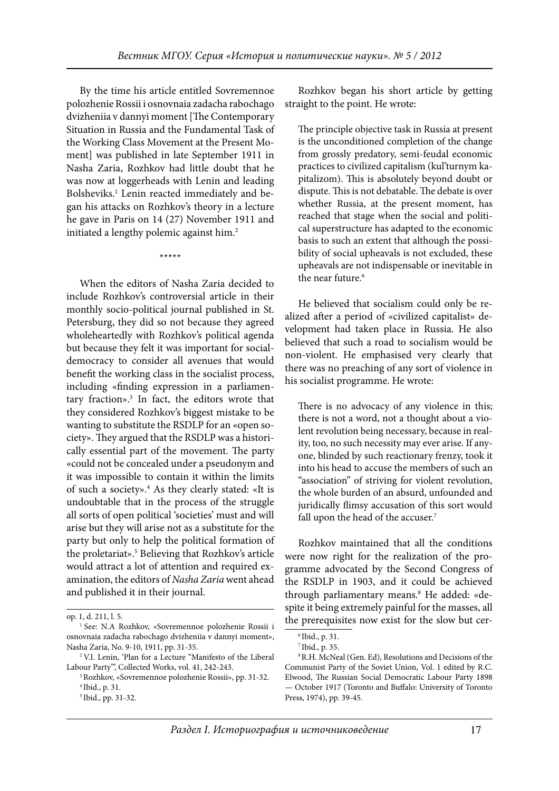By the time his article entitled Sovremennoe polozhenie Rossii i osnovnaia zadacha rabochago dvizheniia v dannyi moment [The Contemporary Situation in Russia and the Fundamental Task of the Working Class Movement at the Present Moment] was published in late September 1911 in Nasha Zaria, Rozhkov had little doubt that he was now at loggerheads with Lenin and leading Bolsheviks.<sup>1</sup> Lenin reacted immediately and began his attacks on Rozhkov's theory in a lecture he gave in Paris on 14 (27) November 1911 and initiated a lengthy polemic against him.<sup>2</sup>

\*\*\*\*\*

When the editors of Nasha Zaria decided to include Rozhkov's controversial article in their monthly socio-political journal published in St. Petersburg, they did so not because they agreed wholeheartedly with Rozhkov's political agenda but because they felt it was important for socialdemocracy to consider all avenues that would benefit the working class in the socialist process, including «finding expression in a parliamentary fraction».3 In fact, the editors wrote that they considered Rozhkov's biggest mistake to be wanting to substitute the RSDLP for an «open society». They argued that the RSDLP was a historically essential part of the movement. The party «could not be concealed under a pseudonym and it was impossible to contain it within the limits of such a society».<sup>4</sup> As they clearly stated: «It is undoubtable that in the process of the struggle all sorts of open political 'societies' must and will arise but they will arise not as a substitute for the party but only to help the political formation of the proletariat».5 Believing that Rozhkov's article would attract a lot of attention and required examination, the editors of Nasha Zaria went ahead and published it in their journal.

Rozhkov began his short article by getting straight to the point. He wrote:

The principle objective task in Russia at present is the unconditioned completion of the change from grossly predatory, semi-feudal economic practices to civilized capitalism (kul'turnym kapitalizom). This is absolutely beyond doubt or dispute. This is not debatable. The debate is over whether Russia, at the present moment, has reached that stage when the social and political superstructure has adapted to the economic basis to such an extent that although the possibility of social upheavals is not excluded, these upheavals are not indispensable or inevitable in the near future<sup>6</sup>

He believed that socialism could only be realized after a period of «civilized capitalist» development had taken place in Russia. He also believed that such a road to socialism would be non-violent. He emphasised very clearly that there was no preaching of any sort of violence in his socialist programme. He wrote:

There is no advocacy of any violence in this; there is not a word, not a thought about a violent revolution being necessary, because in reality, too, no such necessity may ever arise. If anyone, blinded by such reactionary frenzy, took it into his head to accuse the members of such an "association" of striving for violent revolution, the whole burden of an absurd, unfounded and juridically flimsy accusation of this sort would fall upon the head of the accuser.<sup>7</sup>

Rozhkov maintained that all the conditions were now right for the realization of the programme advocated by the Second Congress of the RSDLP in 1903, and it could be achieved through parliamentary means.<sup>8</sup> He added: «despite it being extremely painful for the masses, all the prerequisites now exist for the slow but cer-

op. 1, d. 211, l. 5.

<sup>1</sup> See: N.A Rozhkov, «Sovremennoe polozhenie Rossii i osnovnaia zadacha rabochago dvizheniia v dannyi moment», Nasha Zaria, No. 9-10, 1911, pp. 31-35. 2 V.I. Lenin, 'Plan for a Lecture "Manifesto of the Liberal

Labour Party"', Collected Works, vol. 41, 242-243.

<sup>3</sup> Rozhkov, «Sovremennoe polozhenie Rossii», pp. 31-32. 4 Ibid., p. 31.

<sup>5</sup> Ibid., pp. 31-32.

<sup>6</sup> Ibid., p. 31.

<sup>7</sup> Ibid., p. 35.

<sup>8</sup> R.H. McNeal (Gen. Ed), Resolutions and Decisions of the Communist Party of the Soviet Union, Vol. 1 edited by R.C. Elwood, The Russian Social Democratic Labour Party 1898 - October 1917 (Toronto and Buffalo: University of Toronto Press, 1974), pp. 39-45.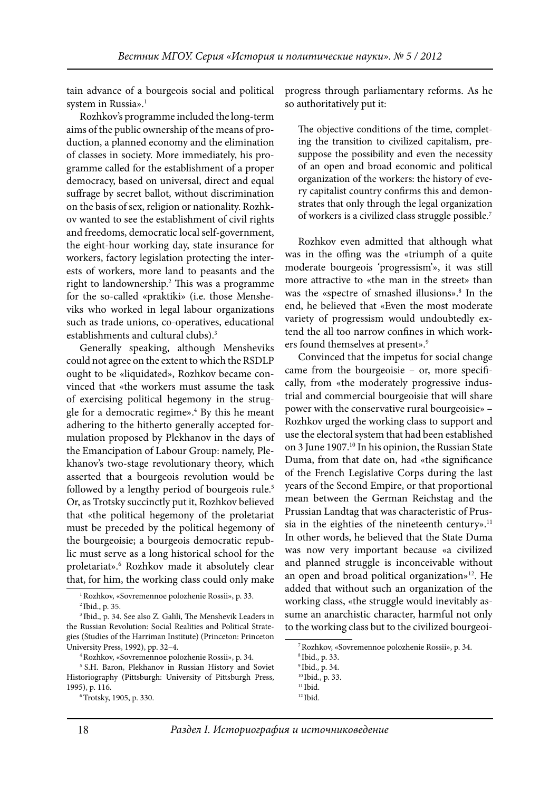tain advance of a bourgeois social and political system in Russia».<sup>1</sup>

Rozhkov's programme included the long-term aims of the public ownership of the means of production, a planned economy and the elimination of classes in society. More immediately, his programme called for the establishment of a proper democracy, based on universal, direct and equal suffrage by secret ballot, without discrimination on the basis of sex, religion or nationality. Rozhkov wanted to see the establishment of civil rights and freedoms, democratic local self-government, the eight-hour working day, state insurance for workers, factory legislation protecting the interests of workers, more land to peasants and the right to landownership.<sup>2</sup> This was a programme for the so-called «praktiki» (i.e. those Mensheviks who worked in legal labour organizations such as trade unions, co-operatives, educational establishments and cultural clubs).<sup>3</sup>

Generally speaking, although Mensheviks could not agree on the extent to which the RSDLP ought to be «liquidated», Rozhkov became convinced that «the workers must assume the task of exercising political hegemony in the struggle for a democratic regime».<sup>4</sup> By this he meant adhering to the hitherto generally accepted formulation proposed by Plekhanov in the days of the Emancipation of Labour Group: namely, Plekhanov's two-stage revolutionary theory, which asserted that a bourgeois revolution would be followed by a lengthy period of bourgeois rule.<sup>5</sup> Or, as Trotsky succinctly put it, Rozhkov believed that «the political hegemony of the proletariat must be preceded by the political hegemony of the bourgeoisie; a bourgeois democratic republic must serve as a long historical school for the proletariat».6 Rozhkov made it absolutely clear that, for him, the working class could only make

progress through parliamentary reforms. As he so authoritatively put it:

The objective conditions of the time, completing the transition to civilized capitalism, presuppose the possibility and even the necessity of an open and broad economic and political organization of the workers: the history of every capitalist country confirms this and demonstrates that only through the legal organization of workers is a civilized class struggle possible.7

Rozhkov even admitted that although what was in the offing was the «triumph of a quite moderate bourgeois 'progressism'», it was still more attractive to «the man in the street» than was the «spectre of smashed illusions».<sup>8</sup> In the end, he believed that «Even the most moderate variety of progressism would undoubtedly extend the all too narrow confines in which workers found themselves at present».<sup>9</sup>

Convinced that the impetus for social change came from the bourgeoisie – or, more specifically, from «the moderately progressive industrial and commercial bourgeoisie that will share power with the conservative rural bourgeoisie» – Rozhkov urged the working class to support and use the electoral system that had been established on 3 June 1907.10 In his opinion, the Russian State Duma, from that date on, had «the significance of the French Legislative Corps during the last years of the Second Empire, or that proportional mean between the German Reichstag and the Prussian Landtag that was characteristic of Prussia in the eighties of the nineteenth century».<sup>11</sup> In other words, he believed that the State Duma was now very important because «a civilized and planned struggle is inconceivable without an open and broad political organization»12. He added that without such an organization of the working class, «the struggle would inevitably assume an anarchistic character, harmful not only to the working class but to the civilized bourgeoi-

<sup>1</sup> Rozhkov, «Sovremennoe polozhenie Rossii», p. 33.

<sup>2</sup> Ibid., p. 35.

<sup>&</sup>lt;sup>3</sup> Ibid., p. 34. See also Z. Galili, The Menshevik Leaders in the Russian Revolution: Social Realities and Political Strategies (Studies of the Harriman Institute) (Princeton: Princeton University Press, 1992), pp. 32–4.

<sup>4</sup> Rozhkov, «Sovremennoe polozhenie Rossii», p. 34.

<sup>5</sup> S.H. Baron, Plekhanov in Russian History and Soviet Historiography (Pittsburgh: University of Pittsburgh Press, 1995), p. 116.

<sup>6</sup> Trotsky, 1905, p. 330.

<sup>7</sup> Rozhkov, «Sovremennoe polozhenie Rossii», p. 34.

<sup>8</sup> Ibid., p. 33.

<sup>9</sup> Ibid., p. 34.

<sup>10</sup> Ibid., p. 33.

 $\rm ^{11}$  Ibid.  $12$  Ibid.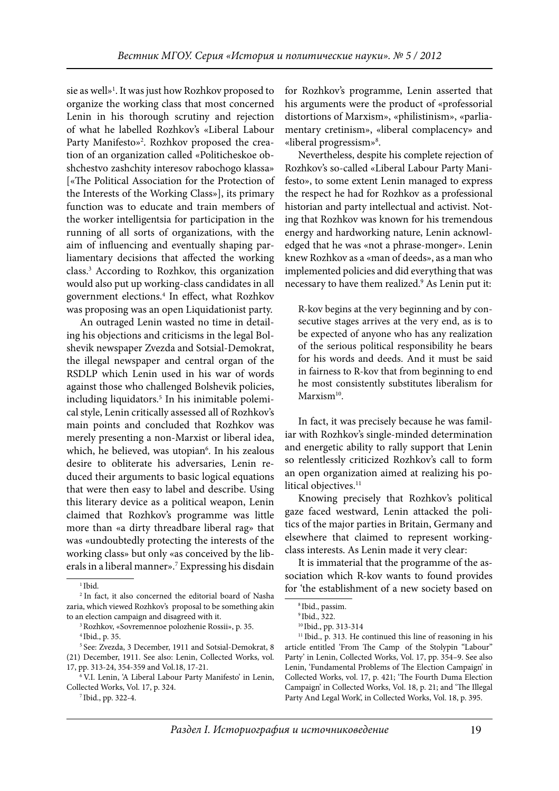sie as well»<sup>1</sup>. It was just how Rozhkov proposed to organize the working class that most concerned Lenin in his thorough scrutiny and rejection of what he labelled Rozhkov's «Liberal Labour Party Manifesto»<sup>2</sup>. Rozhkov proposed the creation of an organization called «Politicheskoe obshchestvo zashchity interesov rabochogo klassa» [«The Political Association for the Protection of the Interests of the Working Class»], its primary function was to educate and train members of the worker intelligentsia for participation in the running of all sorts of organizations, with the aim of influencing and eventually shaping parliamentary decisions that affected the working class.3 According to Rozhkov, this organization would also put up working-class candidates in all government elections.<sup>4</sup> In effect, what Rozhkov was proposing was an open Liquidationist party.

An outraged Lenin wasted no time in detailing his objections and criticisms in the legal Bolshevik newspaper Zvezda and Sotsial-Demokrat, the illegal newspaper and central organ of the RSDLP which Lenin used in his war of words against those who challenged Bolshevik policies, including liquidators.<sup>5</sup> In his inimitable polemical style, Lenin critically assessed all of Rozhkov's main points and concluded that Rozhkov was merely presenting a non-Marxist or liberal idea, which, he believed, was utopian<sup>6</sup>. In his zealous desire to obliterate his adversaries, Lenin reduced their arguments to basic logical equations that were then easy to label and describe. Using this literary device as a political weapon, Lenin claimed that Rozhkov's programme was little more than «a dirty threadbare liberal rag» that was «undoubtedly protecting the interests of the working class» but only «as conceived by the liberals in a liberal manner».7 Expressing his disdain

7 Ibid., pp. 322-4.

for Rozhkov's programme, Lenin asserted that his arguments were the product of «professorial distortions of Marxism», «philistinism», «parliamentary cretinism», «liberal complacency» and «liberal progressism»<sup>8</sup>.

Nevertheless, despite his complete rejection of Rozhkov's so-called «Liberal Labour Party Manifesto», to some extent Lenin managed to express the respect he had for Rozhkov as a professional historian and party intellectual and activist. Noting that Rozhkov was known for his tremendous energy and hardworking nature, Lenin acknowledged that he was «not a phrase-monger». Lenin knew Rozhkov as a «man of deeds», as a man who implemented policies and did everything that was necessary to have them realized.9 As Lenin put it:

R-kov begins at the very beginning and by consecutive stages arrives at the very end, as is to be expected of anyone who has any realization of the serious political responsibility he bears for his words and deeds. And it must be said in fairness to R-kov that from beginning to end he most consistently substitutes liberalism for Marxism<sup>10</sup>.

In fact, it was precisely because he was familiar with Rozhkov's single-minded determination and energetic ability to rally support that Lenin so relentlessly criticized Rozhkov's call to form an open organization aimed at realizing his political objectives.<sup>11</sup>

Knowing precisely that Rozhkov's political gaze faced westward, Lenin attacked the politics of the major parties in Britain, Germany and elsewhere that claimed to represent workingclass interests. As Lenin made it very clear:

It is immaterial that the programme of the association which R-kov wants to found provides for 'the establishment of a new society based on

<sup>&</sup>lt;sup>1</sup> Ibid.

<sup>2</sup> In fact, it also concerned the editorial board of Nasha zaria, which viewed Rozhkov's proposal to be something akin to an election campaign and disagreed with it.

<sup>3</sup> Rozhkov, «Sovremennoe polozhenie Rossii», p. 35.

<sup>4</sup> Ibid., p. 35.

<sup>5</sup> See: Zvezda, 3 December, 1911 and Sotsial-Demokrat, 8 (21) December, 1911. See also: Lenin, Collected Works, vol. 17, pp. 313-24, 354-359 and Vol.18, 17-21.

<sup>6</sup> V.I. Lenin, 'A Liberal Labour Party Manifesto' in Lenin, Collected Works, Vol. 17, p. 324.

<sup>8</sup> Ibid., passim.

<sup>9</sup> Ibid., 322.

<sup>10</sup> Ibid., pp. 313-314

<sup>&</sup>lt;sup>11</sup> Ibid., p. 313. He continued this line of reasoning in his article entitled 'From The Camp of the Stolypin "Labour" Party' in Lenin, Collected Works, Vol. 17, pp. 354–9. See also Lenin, 'Fundamental Problems of The Election Campaign' in Collected Works, vol. 17, p. 421; 'The Fourth Duma Election Campaign' in Collected Works, Vol. 18, p. 21; and 'The Illegal Party And Legal Work', in Collected Works, Vol. 18, p. 395.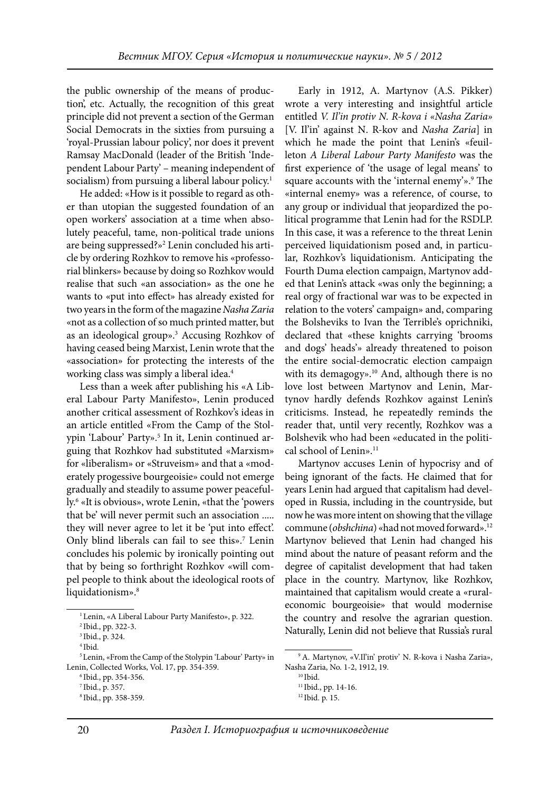the public ownership of the means of production', etc. Actually, the recognition of this great principle did not prevent a section of the German Social Democrats in the sixties from pursuing a 'royal-Prussian labour policy', nor does it prevent Ramsay MacDonald (leader of the British 'Independent Labour Party' – meaning independent of socialism) from pursuing a liberal labour policy.<sup>1</sup>

He added: «How is it possible to regard as other than utopian the suggested foundation of an open workers' association at a time when absolutely peaceful, tame, non-political trade unions are being suppressed?»2 Lenin concluded his article by ordering Rozhkov to remove his «professorial blinkers» because by doing so Rozhkov would realise that such «an association» as the one he wants to «put into effect» has already existed for two years in the form of the magazine Nasha Zaria «not as a collection of so much printed matter, but as an ideological group».<sup>3</sup> Accusing Rozhkov of having ceased being Marxist, Lenin wrote that the «association» for protecting the interests of the working class was simply a liberal idea.4

Less than a week after publishing his «A Liberal Labour Party Manifesto», Lenin produced another critical assessment of Rozhkov's ideas in an article entitled «From the Camp of the Stolypin 'Labour' Party».<sup>5</sup> In it, Lenin continued arguing that Rozhkov had substituted «Marxism» for «liberalism» or «Struveism» and that a «moderately progessive bourgeoisie» could not emerge gradually and steadily to assume power peacefully.6 «It is obvious», wrote Lenin, «that the 'powers that be' will never permit such an association ..... they will never agree to let it be 'put into effect'. Only blind liberals can fail to see this».<sup>7</sup> Lenin concludes his polemic by ironically pointing out that by being so forthright Rozhkov «will compel people to think about the ideological roots of liquidationism».<sup>8</sup>

Early in 1912, A. Martynov (A.S. Pikker) wrote a very interesting and insightful article entitled V. Il'in protiv N. R-kova i «Nasha Zaria» [V. Il'in' against N. R-kov and Nasha Zaria] in which he made the point that Lenin's «feuilleton A Liberal Labour Party Manifesto was the first experience of 'the usage of legal means' to square accounts with the 'internal enemy'».<sup>9</sup> The «internal enemy» was a reference, of course, to any group or individual that jeopardized the political programme that Lenin had for the RSDLP. In this case, it was a reference to the threat Lenin perceived liquidationism posed and, in particular, Rozhkov's liquidationism. Anticipating the Fourth Duma election campaign, Martynov added that Lenin's attack «was only the beginning; a real orgy of fractional war was to be expected in relation to the voters' campaign» and, comparing the Bolsheviks to Ivan the Terrible's oprichniki, declared that «these knights carrying 'brooms and dogs' heads'» already threatened to poison the entire social-democratic election campaign with its demagogy».<sup>10</sup> And, although there is no love lost between Martynov and Lenin, Martynov hardly defends Rozhkov against Lenin's criticisms. Instead, he repeatedly reminds the reader that, until very recently, Rozhkov was a Bolshevik who had been «educated in the political school of Lenin».<sup>11</sup>

Martynov accuses Lenin of hypocrisy and of being ignorant of the facts. He claimed that for years Lenin had argued that capitalism had developed in Russia, including in the countryside, but now he was more intent on showing that the village commune (obshchina) «had not moved forward».12 Martynov believed that Lenin had changed his mind about the nature of peasant reform and the degree of capitalist development that had taken place in the country. Martynov, like Rozhkov, maintained that capitalism would create a «ruraleconomic bourgeoisie» that would modernise the country and resolve the agrarian question. Naturally, Lenin did not believe that Russia's rural

<sup>1</sup> Lenin, «A Liberal Labour Party Manifesto», p. 322.

<sup>2</sup> Ibid., pp. 322-3.

<sup>3</sup> Ibid., p. 324.

<sup>4</sup> Ibid.

<sup>5</sup> Lenin, «From the Camp of the Stolypin 'Labour' Party» in Lenin, Collected Works, Vol. 17, pp. 354-359.

<sup>6</sup> Ibid., pp. 354-356.

<sup>7</sup> Ibid., p. 357.

<sup>8</sup> Ibid., pp. 358-359.

<sup>9</sup> A. Martynov, «V.Il'in' protiv' N. R-kova i Nasha Zaria», Nasha Zaria, No. 1-2, 1912, 19.

<sup>10</sup> Ibid.

<sup>11</sup> Ibid., pp. 14-16.

<sup>12</sup> Ibid. p. 15.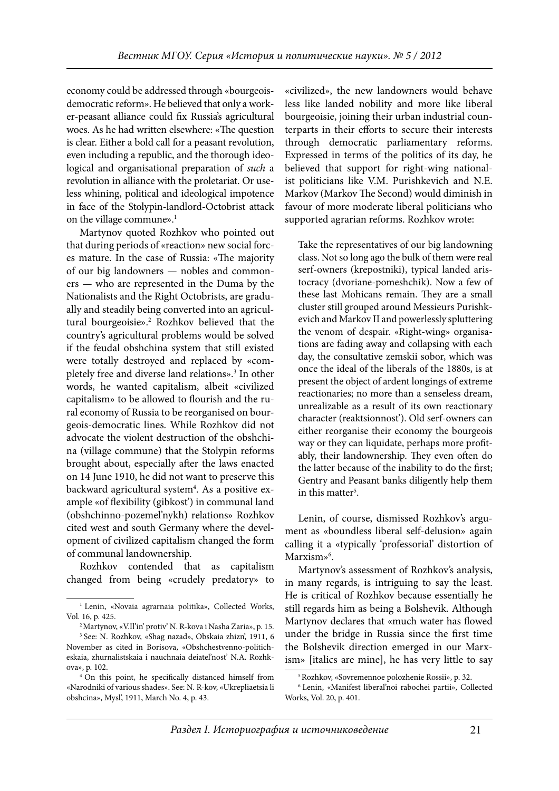economy could be addressed through «bourgeoisdemocratic reform». He believed that only a worker-peasant alliance could fix Russia's agricultural woes. As he had written elsewhere: «The question is clear. Either a bold call for a peasant revolution, even including a republic, and the thorough ideological and organisational preparation of such a revolution in alliance with the proletariat. Or useless whining, political and ideological impotence in face of the Stolypin-landlord-Octobrist attack on the village commune».<sup>1</sup>

Martynov quoted Rozhkov who pointed out that during periods of «reaction» new social forces mature. In the case of Russia: «The majority of our big landowners — nobles and commoners — who are represented in the Duma by the Nationalists and the Right Octobrists, are gradually and steadily being converted into an agricultural bourgeoisie».<sup>2</sup> Rozhkov believed that the country's agricultural problems would be solved if the feudal obshchina system that still existed were totally destroyed and replaced by «completely free and diverse land relations».<sup>3</sup> In other words, he wanted capitalism, albeit «civilized capitalism» to be allowed to flourish and the rural economy of Russia to be reorganised on bourgeois-democratic lines. While Rozhkov did not advocate the violent destruction of the obshchina (village commune) that the Stolypin reforms brought about, especially after the laws enacted on 14 June 1910, he did not want to preserve this backward agricultural system<sup>4</sup>. As a positive example «of flexibility (gibkost') in communal land (obshchinno-pozemel'nykh) relations» Rozhkov cited west and south Germany where the development of civilized capitalism changed the form of communal landownership.

Rozhkov contended that as capitalism changed from being «crudely predatory» to

«civilized», the new landowners would behave less like landed nobility and more like liberal bourgeoisie, joining their urban industrial counterparts in their efforts to secure their interests through democratic parliamentary reforms. Expressed in terms of the politics of its day, he believed that support for right-wing nationalist politicians like V.M. Purishkevich and N.E. Markov (Markov The Second) would diminish in favour of more moderate liberal politicians who supported agrarian reforms. Rozhkov wrote:

Take the representatives of our big landowning class. Not so long ago the bulk of them were real serf-owners (krepostniki), typical landed aristocracy (dvoriane-pomeshchik). Now a few of these last Mohicans remain. They are a small cluster still grouped around Messieurs Purishkevich and Markov II and powerlessly spluttering the venom of despair. «Right-wing» organisations are fading away and collapsing with each day, the consultative zemskii sobor, which was once the ideal of the liberals of the 1880s, is at present the object of ardent longings of extreme reactionaries; no more than a senseless dream, unrealizable as a result of its own reactionary character (reaktsionnost'). Old serf-owners can either reorganise their economy the bourgeois way or they can liquidate, perhaps more profitably, their landownership. They even often do the latter because of the inability to do the first; Gentry and Peasant banks diligently help them in this matter<sup>5</sup>.

Lenin, of course, dismissed Rozhkov's argument as «boundless liberal self-delusion» again calling it a «typically 'professorial' distortion of Marxism»<sup>6</sup>.

Martynov's assessment of Rozhkov's analysis, in many regards, is intriguing to say the least. He is critical of Rozhkov because essentially he still regards him as being a Bolshevik. Although Martynov declares that «much water has flowed under the bridge in Russia since the first time the Bolshevik direction emerged in our Marxism» [italics are mine], he has very little to say

<sup>1</sup> Lenin, «Novaia agrarnaia politika», Collected Works, Vol. 16, p. 425.

<sup>2</sup> Martynov, «V.Il'in' protiv' N. R-kova i Nasha Zaria», p. 15.

<sup>3</sup> See: N. Rozhkov, «Shag nazad», Obskaia zhizn', 1911, 6 November as cited in Borisova, «Obshchestvenno-politicheskaia, zhurnalistskaia i nauchnaia deiatel'nost' N.A. Rozhkova», p. 102.

<sup>&</sup>lt;sup>4</sup> On this point, he specifically distanced himself from «Narodniki of various shades». See: N. R-kov, «Ukrepliaetsia li obshcina», Mysl', 1911, March No. 4, p. 43.

<sup>5</sup> Rozhkov, «Sovremennoe polozhenie Rossii», p. 32.

<sup>6</sup> Lenin, «Manifest liberal'noi rabochei partii», Collected Works, Vol. 20, p. 401.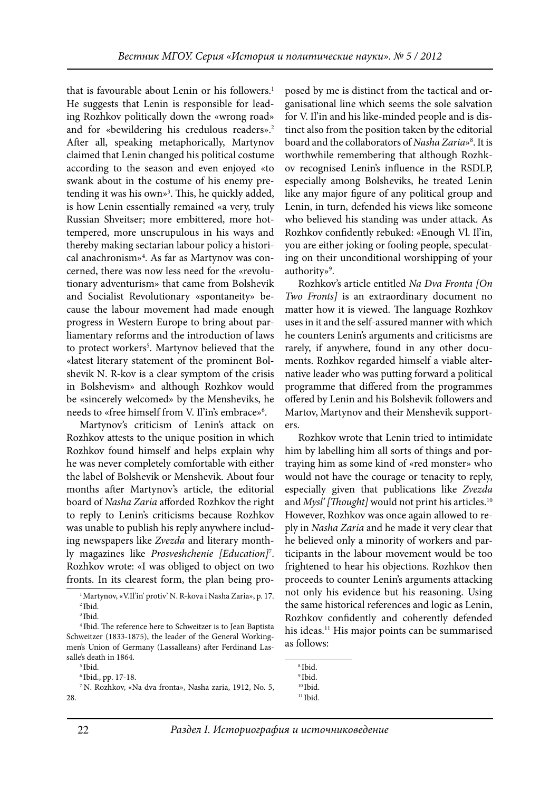that is favourable about Lenin or his followers.<sup>1</sup> He suggests that Lenin is responsible for leading Rozhkov politically down the «wrong road» and for «bewildering his credulous readers».<sup>2</sup> After all, speaking metaphorically, Martynov claimed that Lenin changed his political costume according to the season and even enjoyed «to swank about in the costume of his enemy pretending it was his own»<sup>3</sup>. This, he quickly added, is how Lenin essentially remained «a very, truly Russian Shveitser; more embittered, more hottempered, more unscrupulous in his ways and thereby making sectarian labour policy a historical anachronism»4 . As far as Martynov was concerned, there was now less need for the «revolutionary adventurism» that came from Bolshevik and Socialist Revolutionary «spontaneity» because the labour movement had made enough progress in Western Europe to bring about parliamentary reforms and the introduction of laws to protect workers<sup>5</sup>. Martynov believed that the «latest literary statement of the prominent Bolshevik N. R-kov is a clear symptom of the crisis in Bolshevism» and although Rozhkov would be «sincerely welcomed» by the Mensheviks, he needs to «free himself from V. Il'in's embrace»<sup>6</sup>.

Martynov's criticism of Lenin's attack on Rozhkov attests to the unique position in which Rozhkov found himself and helps explain why he was never completely comfortable with either the label of Bolshevik or Menshevik. About four months after Martynov's article, the editorial board of Nasha Zaria afforded Rozhkov the right to reply to Lenin's criticisms because Rozhkov was unable to publish his reply anywhere including newspapers like Zvezda and literary monthly magazines like Prosveshchenie [Education]<sup>7</sup>. Rozhkov wrote: «I was obliged to object on two fronts. In its clearest form, the plan being pro-

<sup>4</sup> Ibid. The reference here to Schweitzer is to Jean Baptista Schweitzer (1833-1875), the leader of the General Workingmen's Union of Germany (Lassalleans) after Ferdinand Lassalle's death in 1864.

5 Ibid.

posed by me is distinct from the tactical and organisational line which seems the sole salvation for V. Il'in and his like-minded people and is distinct also from the position taken by the editorial board and the collaborators of Nasha Zaria»<sup>8</sup>. It is worthwhile remembering that although Rozhkov recognised Lenin's influence in the RSDLP, especially among Bolsheviks, he treated Lenin like any major figure of any political group and Lenin, in turn, defended his views like someone who believed his standing was under attack. As Rozhkov confidently rebuked: «Enough Vl. Il'in, you are either joking or fooling people, speculating on their unconditional worshipping of your authority»<sup>9</sup>.

Rozhkov's article entitled Na Dva Fronta [On Two Fronts] is an extraordinary document no matter how it is viewed. The language Rozhkov uses in it and the self-assured manner with which he counters Lenin's arguments and criticisms are rarely, if anywhere, found in any other documents. Rozhkov regarded himself a viable alternative leader who was putting forward a political programme that differed from the programmes offered by Lenin and his Bolshevik followers and Martov, Martynov and their Menshevik supporters.

Rozhkov wrote that Lenin tried to intimidate him by labelling him all sorts of things and portraying him as some kind of «red monster» who would not have the courage or tenacity to reply, especially given that publications like Zvezda and Mysl' [Thought] would not print his articles.<sup>10</sup> However, Rozhkov was once again allowed to reply in Nasha Zaria and he made it very clear that he believed only a minority of workers and participants in the labour movement would be too frightened to hear his objections. Rozhkov then proceeds to counter Lenin's arguments attacking not only his evidence but his reasoning. Using the same historical references and logic as Lenin, Rozhkov confidently and coherently defended his ideas.<sup>11</sup> His major points can be summarised as follows:

<sup>1</sup> Martynov, «V.Il'in' protiv' N. R-kova i Nasha Zaria», p. 17. 2 Ibid.

<sup>3</sup> Ibid.

<sup>6</sup> Ibid., pp. 17-18.

<sup>7</sup> N. Rozhkov, «Na dva fronta», Nasha zaria, 1912, No. 5, 28

<sup>8</sup> Ibid. 9 Ibid.

<sup>&</sup>lt;sup>10</sup> Ibid.  $11$  Ibid.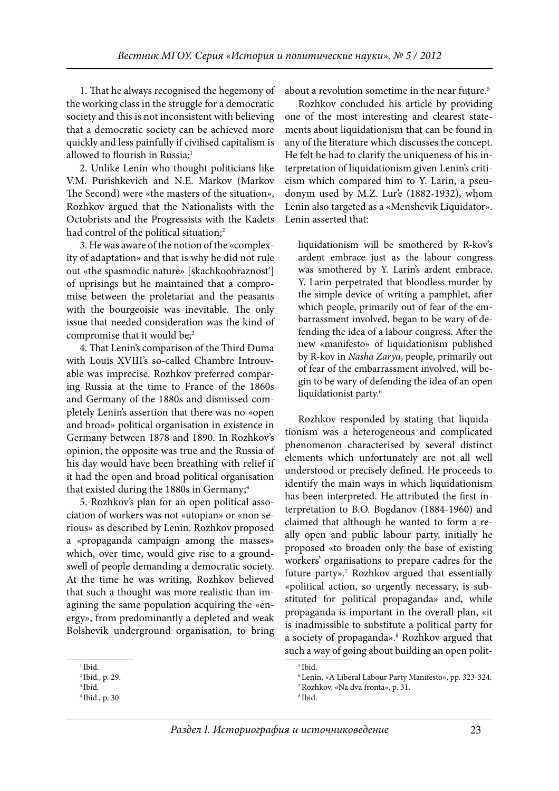1. That he always recognised the hegemony of the working class in the struggle for a democratic society and this is not inconsistent with believing that a democratic society can be achieved more quickly and less painfully if civilised capitalism is allowed to flourish in Russia;<sup>1</sup>

2. Unlike Lenin who thought politicians like V.M. Purishkevich and N.E. Markov (Markov The Second) were «the masters of the situation». Rozhkov argued that the Nationalists with the Octobrists and the Progressists with the Kadets had control of the political situation;<sup>2</sup>

3. He was aware of the notion of the «complexity of adaptation» and that is why he did not rule out «the spasmodic nature» [skachkoobraznost'] of uprisings but he maintained that a compromise between the proletariat and the peasants with the bourgeoisie was inevitable. The only issue that needed consideration was the kind of compromise that it would be;<sup>3</sup>

4. That Lenin's comparison of the Third Duma with Louis XVIII's so-called Chambre Introuvable was imprecise. Rozhkov preferred comparing Russia at the time to France of the 1860s and Germany of the 1880s and dismissed completely Lenin's assertion that there was no «open and broad» political organisation in existence in Germany between 1878 and 1890. In Rozhkov's opinion, the opposite was true and the Russia of his day would have been breathing with relief if it had the open and broad political organisation that existed during the 1880s in Germany;<sup>4</sup>

5. Rozhkov's plan for an open political association of workers was not «utopian» or «non serious» as described by Lenin. Rozhkov proposed a «propaganda campaign among the masses» which, over time, would give rise to a groundswell of people demanding a democratic society. At the time he was writing, Rozhkov believed that such a thought was more realistic than imagining the same population acquiring the «energy», from predominantly a depleted and weak Bolshevik underground organisation, to bring about a revolution sometime in the near future.<sup>5</sup>

Rozhkov concluded his article by providing one of the most interesting and clearest statements about liquidationism that can be found in any of the literature which discusses the concept. He felt he had to clarify the uniqueness of his interpretation of liquidationism given Lenin's criticism which compared him to Y. Larin, a pseudonym used by M.Z. Lur'e (1882-1932), whom Lenin also targeted as a «Menshevik Liquidator». Lenin asserted that:

liquidationism will be smothered by R-kov's ardent embrace just as the labour congress was smothered by Y. Larin's ardent embrace. Y. Larin perpetrated that bloodless murder by the simple device of writing a pamphlet, after which people, primarily out of fear of the embarrassment involved, began to be wary of defending the idea of a labour congress. After the new «manifesto» of liquidationism published by R-kov in Nasha Zarya, people, primarily out of fear of the embarrassment involved, will begin to be wary of defending the idea of an open liquidationist party.<sup>6</sup>

Rozhkov responded by stating that liquidationism was a heterogeneous and complicated phenomenon characterised by several distinct elements which unfortunately are not all well understood or precisely defined. He proceeds to identify the main ways in which liquidationism has been interpreted. He attributed the first interpretation to B.O. Bogdanov (1884-1960) and claimed that although he wanted to form a really open and public labour party, initially he proposed «to broaden only the base of existing workers' organisations to prepare cadres for the future party».7 Rozhkov argued that essentially «political action, so urgently necessary, is substituted for political propaganda» and, while propaganda is important in the overall plan, «it is inadmissible to substitute a political party for a society of propaganda».8 Rozhkov argued that such a way of going about building an open polit-

<sup>&</sup>lt;sup>1</sup> Ibid.

<sup>2</sup> Ibid., p. 29.

<sup>3</sup> Ibid. 4 Ibid., p. 30

<sup>5</sup> Ibid.

<sup>6</sup> Lenin, «A Liberal Labour Party Manifesto», pp. 323-324.

<sup>7</sup> Rozhkov, «Na dva fronta», p. 31.

<sup>8</sup> Ibid.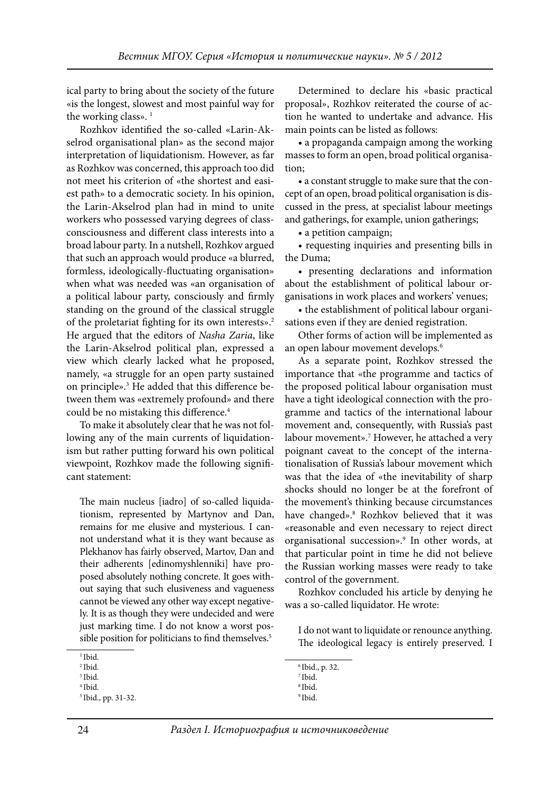ical party to bring about the society of the future «is the longest, slowest and most painful way for the working class».<sup>1</sup>

Rozhkov identified the so-called «Larin-Akselrod organisational plan» as the second major interpretation of liquidationism. However, as far as Rozhkov was concerned, this approach too did not meet his criterion of «the shortest and easiest path» to a democratic society. In his opinion, the Larin-Akselrod plan had in mind to unite workers who possessed varying degrees of classconsciousness and different class interests into a broad labour party. In a nutshell, Rozhkov argued that such an approach would produce «a blurred, formless, ideologically-fluctuating organisation» when what was needed was «an organisation of a political labour party, consciously and firmly standing on the ground of the classical struggle of the proletariat fighting for its own interests».<sup>2</sup> He argued that the editors of Nasha Zaria, like the Larin-Akselrod political plan, expressed a view which clearly lacked what he proposed, namely, «a struggle for an open party sustained on principle».<sup>3</sup> He added that this difference between them was «extremely profound» and there could be no mistaking this difference.<sup>4</sup>

To make it absolutely clear that he was not following any of the main currents of liquidationism but rather putting forward his own political viewpoint, Rozhkov made the following significant statement:

The main nucleus [iadro] of so-called liquidationism, represented by Martynov and Dan, remains for me elusive and mysterious. I cannot understand what it is they want because as Plekhanov has fairly observed, Martov, Dan and their adherents [edinomyshlenniki] have proposed absolutely nothing concrete. It goes without saying that such elusiveness and vagueness cannot be viewed any other way except negatively. It is as though they were undecided and were just marking time. I do not know a worst possible position for politicians to find themselves.<sup>5</sup>

Determined to declare his «basic practical proposal», Rozhkov reiterated the course of action he wanted to undertake and advance. His main points can be listed as follows:

• a propaganda campaign among the working masses to form an open, broad political organisation;

• a constant struggle to make sure that the concept of an open, broad political organisation is discussed in the press, at specialist labour meetings and gatherings, for example, union gatherings;

• a petition campaign;

• requesting inquiries and presenting bills in the Duma;

• presenting declarations and information about the establishment of political labour organisations in work places and workers' venues;

• the establishment of political labour organisations even if they are denied registration.

Other forms of action will be implemented as an open labour movement develops.6

As a separate point, Rozhkov stressed the importance that «the programme and tactics of the proposed political labour organisation must have a tight ideological connection with the programme and tactics of the international labour movement and, consequently, with Russia's past labour movement».7 However, he attached a very poignant caveat to the concept of the internationalisation of Russia's labour movement which was that the idea of «the inevitability of sharp shocks should no longer be at the forefront of the movement's thinking because circumstances have changed».<sup>8</sup> Rozhkov believed that it was «reasonable and even necessary to reject direct organisational succession».9 In other words, at that particular point in time he did not believe the Russian working masses were ready to take control of the government.

Rozhkov concluded his article by denying he was a so-called liquidator. He wrote:

I do not want to liquidate or renounce anything. The ideological legacy is entirely preserved. I

<sup>&</sup>lt;sup>1</sup> Ibid.

<sup>2</sup> Ibid.

<sup>3</sup> Ibid.

<sup>4</sup> Ibid. 5 Ibid., pp. 31-32.

<sup>6</sup> Ibid., p. 32.

<sup>7</sup> Ibid.

<sup>8</sup> Ibid.  $9$  Ibid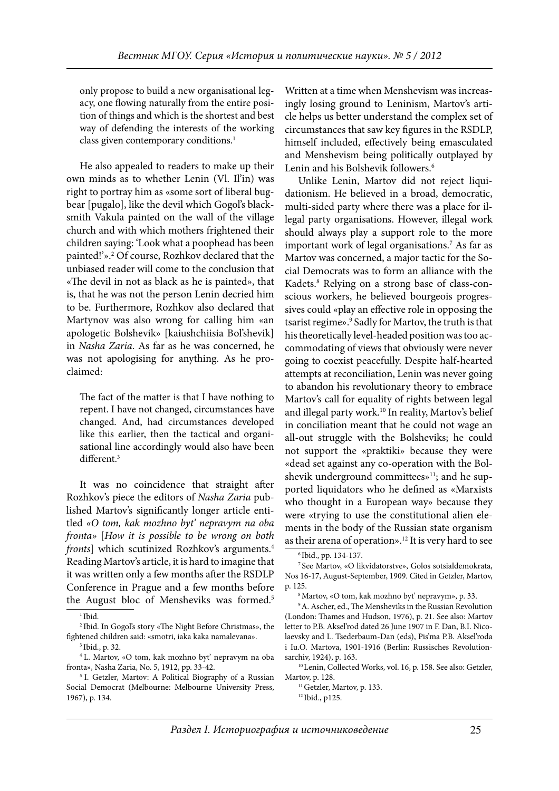only propose to build a new organisational legacy, one flowing naturally from the entire position of things and which is the shortest and best way of defending the interests of the working class given contemporary conditions.<sup>1</sup>

He also appealed to readers to make up their own minds as to whether Lenin (Vl. Il'in) was right to portray him as «some sort of liberal bugbear [pugalo], like the devil which Gogol's blacksmith Vakula painted on the wall of the village church and with which mothers frightened their children saying: 'Look what a poophead has been painted!'».2 Of course, Rozhkov declared that the unbiased reader will come to the conclusion that «The devil in not as black as he is painted», that is, that he was not the person Lenin decried him to be. Furthermore, Rozhkov also declared that Martynov was also wrong for calling him «an apologetic Bolshevik» [kaiushchiisia Bol'shevik] in Nasha Zaria. As far as he was concerned, he was not apologising for anything. As he proclaimed:

The fact of the matter is that I have nothing to repent. I have not changed, circumstances have changed. And, had circumstances developed like this earlier, then the tactical and organisational line accordingly would also have been  $d$ ifferent. $3$ 

It was no coincidence that straight after Rozhkov's piece the editors of Nasha Zaria published Martov's significantly longer article entitled «O tom, kak mozhno byt' nepravym na oba fronta» [How it is possible to be wrong on both fronts] which scutinized Rozhkov's arguments.<sup>4</sup> Reading Martov's article, it is hard to imagine that it was written only a few months after the RSDLP Conference in Prague and a few months before the August bloc of Mensheviks was formed.<sup>5</sup>

Written at a time when Menshevism was increasingly losing ground to Leninism, Martov's article helps us better understand the complex set of circumstances that saw key figures in the RSDLP, himself included, effectively being emasculated and Menshevism being politically outplayed by Lenin and his Bolshevik followers.<sup>6</sup>

Unlike Lenin, Martov did not reject liquidationism. He believed in a broad, democratic, multi-sided party where there was a place for illegal party organisations. However, illegal work should always play a support role to the more important work of legal organisations.7 As far as Martov was concerned, a major tactic for the Social Democrats was to form an alliance with the Kadets.8 Relying on a strong base of class-conscious workers, he believed bourgeois progressives could «play an effective role in opposing the tsarist regime».<sup>9</sup> Sadly for Martov, the truth is that his theoretically level-headed position was too accommodating of views that obviously were never going to coexist peacefully. Despite half-hearted attempts at reconciliation, Lenin was never going to abandon his revolutionary theory to embrace Martov's call for equality of rights between legal and illegal party work.<sup>10</sup> In reality, Martov's belief in conciliation meant that he could not wage an all-out struggle with the Bolsheviks; he could not support the «praktiki» because they were «dead set against any co-operation with the Bolshevik underground committees»<sup>11</sup>; and he supported liquidators who he defined as «Marxists who thought in a European way» because they were «trying to use the constitutional alien elements in the body of the Russian state organism as their arena of operation».<sup>12</sup> It is very hard to see

<sup>&</sup>lt;sup>1</sup> Ibid.

<sup>&</sup>lt;sup>2</sup> Ibid. In Gogol's story «The Night Before Christmas», the fightened children said: «smotri, iaka kaka namalevana». $^3$ Ibid., p. 32.

<sup>4</sup> L. Martov, «O tom, kak mozhno byt' nepravym na oba fronta», Nasha Zaria, No. 5, 1912, pp. 33-42.

<sup>5</sup> I. Getzler, Martov: A Political Biography of a Russian Social Democrat (Melbourne: Melbourne University Press, 1967), p. 134.

<sup>6</sup> Ibid., pp. 134-137.

<sup>7</sup> See Martov, «O likvidatorstve», Golos sotsialdemokrata, Nos 16-17, August-September, 1909. Cited in Getzler, Martov, p. 125.

<sup>8</sup> Martov, «O tom, kak mozhno byt' nepravym», p. 33.

<sup>&</sup>lt;sup>9</sup> A. Ascher, ed., The Mensheviks in the Russian Revolution (London: Thames and Hudson, 1976), p. 21. See also: Martov letter to P.B. Aksel'rod dated 26 June 1907 in F. Dan, B.I. Nicolaevsky and L. Tsederbaum-Dan (eds), Pis'ma P.B. Aksel'roda i Iu.O. Martova, 1901-1916 (Berlin: Russisches Revolutionsarchiv, 1924), p. 163.

<sup>10</sup> Lenin, Collected Works, vol. 16, p. 158. See also: Getzler, Martov, p. 128.

<sup>&</sup>lt;sup>11</sup> Getzler, Martov, p. 133.

<sup>12</sup> Ibid., p125.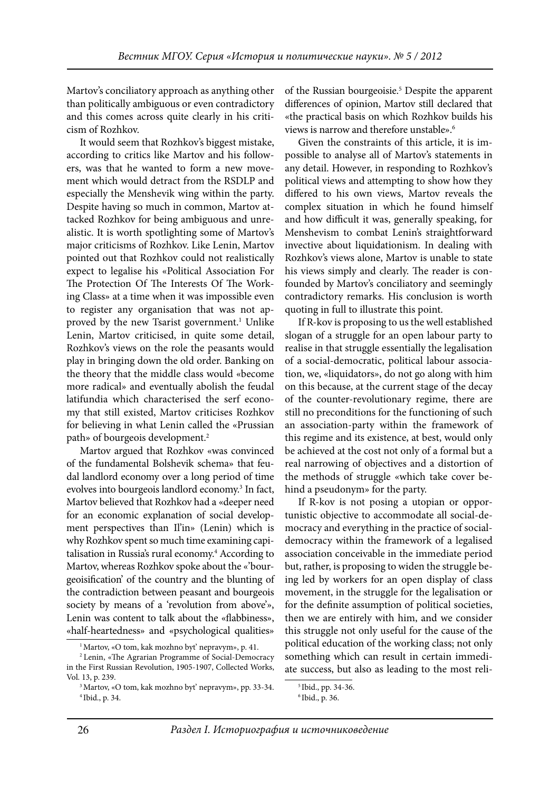Martov's conciliatory approach as anything other than politically ambiguous or even contradictory and this comes across quite clearly in his criticism of Rozhkov.

It would seem that Rozhkov's biggest mistake, according to critics like Martov and his followers, was that he wanted to form a new movement which would detract from the RSDLP and especially the Menshevik wing within the party. Despite having so much in common, Martov attacked Rozhkov for being ambiguous and unrealistic. It is worth spotlighting some of Martov's major criticisms of Rozhkov. Like Lenin, Martov pointed out that Rozhkov could not realistically expect to legalise his «Political Association For The Protection Of The Interests Of The Working Class» at a time when it was impossible even to register any organisation that was not approved by the new Tsarist government.<sup>1</sup> Unlike Lenin, Martov criticised, in quite some detail, Rozhkov's views on the role the peasants would play in bringing down the old order. Banking on the theory that the middle class would «become more radical» and eventually abolish the feudal latifundia which characterised the serf economy that still existed, Martov criticises Rozhkov for believing in what Lenin called the «Prussian path» of bourgeois development.2

Martov argued that Rozhkov «was convinced of the fundamental Bolshevik schema» that feudal landlord economy over a long period of time evolves into bourgeois landlord economy.<sup>3</sup> In fact, Martov believed that Rozhkov had a «deeper need for an economic explanation of social development perspectives than Il'in» (Lenin) which is why Rozhkov spent so much time examining capitalisation in Russia's rural economy.<sup>4</sup> According to Martov, whereas Rozhkov spoke about the «'bourgeoisification' of the country and the blunting of the contradiction between peasant and bourgeois society by means of a 'revolution from above'», Lenin was content to talk about the «flabbiness», «half-heartedness» and «psychological qualities»

of the Russian bourgeoisie.<sup>5</sup> Despite the apparent differences of opinion, Martov still declared that «the practical basis on which Rozhkov builds his views is narrow and therefore unstable».<sup>6</sup>

Given the constraints of this article, it is impossible to analyse all of Martov's statements in any detail. However, in responding to Rozhkov's political views and attempting to show how they differed to his own views, Martov reveals the complex situation in which he found himself and how difficult it was, generally speaking, for Menshevism to combat Lenin's straightforward invective about liquidationism. In dealing with Rozhkov's views alone, Martov is unable to state his views simply and clearly. The reader is confounded by Martov's conciliatory and seemingly contradictory remarks. His conclusion is worth quoting in full to illustrate this point.

If R-kov is proposing to us the well established slogan of a struggle for an open labour party to realise in that struggle essentially the legalisation of a social-democratic, political labour association, we, «liquidators», do not go along with him on this because, at the current stage of the decay of the counter-revolutionary regime, there are still no preconditions for the functioning of such an association-party within the framework of this regime and its existence, at best, would only be achieved at the cost not only of a formal but a real narrowing of objectives and a distortion of the methods of struggle «which take cover behind a pseudonym» for the party.

If R-kov is not posing a utopian or opportunistic objective to accommodate all social-democracy and everything in the practice of socialdemocracy within the framework of a legalised association conceivable in the immediate period but, rather, is proposing to widen the struggle being led by workers for an open display of class movement, in the struggle for the legalisation or for the definite assumption of political societies, then we are entirely with him, and we consider this struggle not only useful for the cause of the political education of the working class; not only something which can result in certain immediate success, but also as leading to the most reli-

<sup>1</sup> Martov, «O tom, kak mozhno byt' nepravym», p. 41.

<sup>&</sup>lt;sup>2</sup> Lenin, «The Agrarian Programme of Social-Democracy in the First Russian Revolution, 1905-1907, Collected Works, Vol. 13, p. 239.

<sup>3</sup> Martov, «O tom, kak mozhno byt' nepravym», pp. 33-34. 4 Ibid., p. 34.

<sup>5</sup> Ibid., pp. 34-36.

<sup>6</sup> Ibid., p. 36.